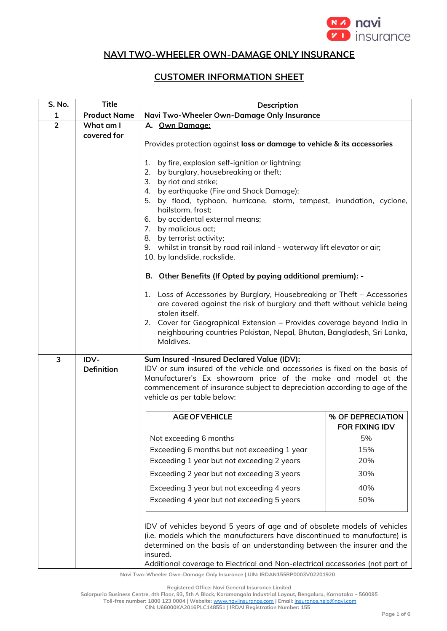

## **NAVI TWO-WHEELER OWN-DAMAGE ONLY INSURANCE**

## **CUSTOMER INFORMATION SHEET**

| S. No.         | <b>Title</b>        | <b>Description</b>                                                                                                                                                                                                                                                                                                                       |                                            |
|----------------|---------------------|------------------------------------------------------------------------------------------------------------------------------------------------------------------------------------------------------------------------------------------------------------------------------------------------------------------------------------------|--------------------------------------------|
| $\mathbf{1}$   | <b>Product Name</b> | Navi Two-Wheeler Own-Damage Only Insurance                                                                                                                                                                                                                                                                                               |                                            |
| $\overline{2}$ | What am I           | A. Own Damage:                                                                                                                                                                                                                                                                                                                           |                                            |
|                | covered for         |                                                                                                                                                                                                                                                                                                                                          |                                            |
|                |                     | Provides protection against loss or damage to vehicle & its accessories                                                                                                                                                                                                                                                                  |                                            |
|                |                     | 1. by fire, explosion self-ignition or lightning;                                                                                                                                                                                                                                                                                        |                                            |
|                |                     | by burglary, housebreaking or theft;<br>2.                                                                                                                                                                                                                                                                                               |                                            |
|                |                     | 3. by riot and strike;                                                                                                                                                                                                                                                                                                                   |                                            |
|                |                     | 4. by earthquake (Fire and Shock Damage);<br>5. by flood, typhoon, hurricane, storm, tempest, inundation, cyclone,                                                                                                                                                                                                                       |                                            |
|                |                     | hailstorm, frost;                                                                                                                                                                                                                                                                                                                        |                                            |
|                |                     | 6. by accidental external means;                                                                                                                                                                                                                                                                                                         |                                            |
|                |                     | 7. by malicious act;                                                                                                                                                                                                                                                                                                                     |                                            |
|                |                     | 8. by terrorist activity;<br>9. whilst in transit by road rail inland - waterway lift elevator or air;                                                                                                                                                                                                                                   |                                            |
|                |                     | 10. by landslide, rockslide.                                                                                                                                                                                                                                                                                                             |                                            |
|                |                     | B. Other Benefits (If Opted by paying additional premium): -                                                                                                                                                                                                                                                                             |                                            |
|                |                     | 1. Loss of Accessories by Burglary, Housebreaking or Theft - Accessories<br>are covered against the risk of burglary and theft without vehicle being<br>stolen itself.<br>2. Cover for Geographical Extension - Provides coverage beyond India in<br>neighbouring countries Pakistan, Nepal, Bhutan, Bangladesh, Sri Lanka,<br>Maldives. |                                            |
| 3              | IDV-                | Sum Insured -Insured Declared Value (IDV):                                                                                                                                                                                                                                                                                               |                                            |
|                | <b>Definition</b>   | IDV or sum insured of the vehicle and accessories is fixed on the basis of<br>Manufacturer's Ex showroom price of the make and model at the<br>commencement of insurance subject to depreciation according to age of the<br>vehicle as per table below:                                                                                  |                                            |
|                |                     | <b>AGE OF VEHICLE</b>                                                                                                                                                                                                                                                                                                                    | % OF DEPRECIATION<br><b>FOR FIXING IDV</b> |
|                |                     | Not exceeding 6 months                                                                                                                                                                                                                                                                                                                   | 5%                                         |
|                |                     | Exceeding 6 months but not exceeding 1 year                                                                                                                                                                                                                                                                                              | 15%                                        |
|                |                     | Exceeding 1 year but not exceeding 2 years                                                                                                                                                                                                                                                                                               | 20%                                        |
|                |                     | Exceeding 2 year but not exceeding 3 years                                                                                                                                                                                                                                                                                               | 30%                                        |
|                |                     | Exceeding 3 year but not exceeding 4 years                                                                                                                                                                                                                                                                                               | 40%                                        |
|                |                     | Exceeding 4 year but not exceeding 5 years                                                                                                                                                                                                                                                                                               | 50%                                        |
|                |                     | IDV of vehicles beyond 5 years of age and of obsolete models of vehicles<br>(i.e. models which the manufacturers have discontinued to manufacture) is<br>determined on the basis of an understanding between the insurer and the<br>insured.<br>Additional coverage to Electrical and Non-electrical accessories (not part of            |                                            |

**Navi Two-Wheeler Own-Damage Only Insurance | UIN: IRDAN155RP0003V02201920**

**Registered Office: Navi General Insurance Limited**

**Salarpuria Business Centre, 4th Floor, 93, 5th A Block, Koramangala Industrial Layout, Bengaluru, Karnataka – 560095**

**Toll-free number: 1800 123 0004 | Website:** [www.naviinsurance.com](http://www.naviinsurance.com/) **| Email:** [insurance.help@navi.com](mailto:insurance.help@navi.com)

**CIN: U66000KA2016PLC148551 | IRDAI Registration Number: 155**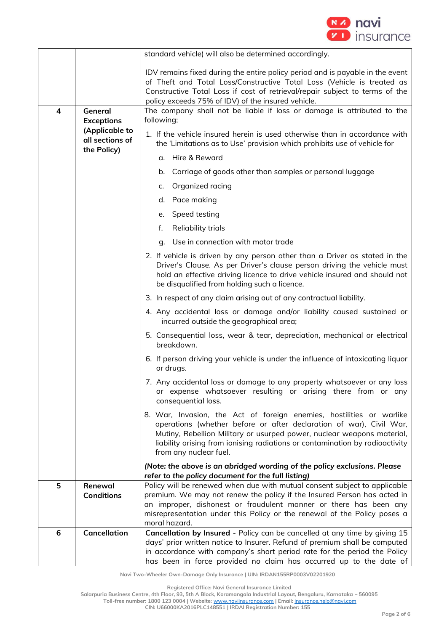

|              |                                                                       | standard vehicle) will also be determined accordingly.                                                                                                                                                                                                                                                                          |  |
|--------------|-----------------------------------------------------------------------|---------------------------------------------------------------------------------------------------------------------------------------------------------------------------------------------------------------------------------------------------------------------------------------------------------------------------------|--|
|              |                                                                       | IDV remains fixed during the entire policy period and is payable in the event<br>of Theft and Total Loss/Constructive Total Loss (Vehicle is treated as<br>Constructive Total Loss if cost of retrieval/repair subject to terms of the<br>policy exceeds 75% of IDV) of the insured vehicle.                                    |  |
| General<br>4 |                                                                       | The company shall not be liable if loss or damage is attributed to the<br>following;                                                                                                                                                                                                                                            |  |
|              | <b>Exceptions</b><br>(Applicable to<br>all sections of<br>the Policy) | 1. If the vehicle insured herein is used otherwise than in accordance with<br>the 'Limitations as to Use' provision which prohibits use of vehicle for                                                                                                                                                                          |  |
|              |                                                                       | g. Hire & Reward                                                                                                                                                                                                                                                                                                                |  |
|              |                                                                       | Carriage of goods other than samples or personal luggage<br>b.                                                                                                                                                                                                                                                                  |  |
|              |                                                                       | Organized racing<br>c.                                                                                                                                                                                                                                                                                                          |  |
|              |                                                                       | d. Pace making                                                                                                                                                                                                                                                                                                                  |  |
|              |                                                                       | Speed testing<br>е.                                                                                                                                                                                                                                                                                                             |  |
|              |                                                                       | <b>Reliability trials</b><br>f.                                                                                                                                                                                                                                                                                                 |  |
|              |                                                                       | g. Use in connection with motor trade                                                                                                                                                                                                                                                                                           |  |
|              |                                                                       | 2. If vehicle is driven by any person other than a Driver as stated in the<br>Driver's Clause. As per Driver's clause person driving the vehicle must<br>hold an effective driving licence to drive vehicle insured and should not<br>be disqualified from holding such a licence.                                              |  |
|              |                                                                       | 3. In respect of any claim arising out of any contractual liability.                                                                                                                                                                                                                                                            |  |
|              |                                                                       | 4. Any accidental loss or damage and/or liability caused sustained or<br>incurred outside the geographical area;                                                                                                                                                                                                                |  |
|              |                                                                       | 5. Consequential loss, wear & tear, depreciation, mechanical or electrical<br>breakdown.                                                                                                                                                                                                                                        |  |
|              |                                                                       | 6. If person driving your vehicle is under the influence of intoxicating liquor<br>or drugs.                                                                                                                                                                                                                                    |  |
|              |                                                                       | 7. Any accidental loss or damage to any property whatsoever or any loss<br>or expense whatsoever resulting or arising there from or any<br>consequential loss.                                                                                                                                                                  |  |
|              |                                                                       | 8. War, Invasion, the Act of foreign enemies, hostilities or warlike<br>operations (whether before or after declaration of war), Civil War,<br>Mutiny, Rebellion Military or usurped power, nuclear weapons material,<br>liability arising from ionising radiations or contamination by radioactivity<br>from any nuclear fuel. |  |
|              |                                                                       | (Note: the above is an abridged wording of the policy exclusions. Please<br>refer to the policy document for the full listing)                                                                                                                                                                                                  |  |
| 5            | Renewal<br><b>Conditions</b>                                          | Policy will be renewed when due with mutual consent subject to applicable<br>premium. We may not renew the policy if the Insured Person has acted in<br>an improper, dishonest or fraudulent manner or there has been any<br>misrepresentation under this Policy or the renewal of the Policy poses a<br>moral hazard.          |  |
| 6            | <b>Cancellation</b>                                                   | Cancellation by Insured - Policy can be cancelled at any time by giving 15<br>days' prior written notice to Insurer. Refund of premium shall be computed<br>in accordance with company's short period rate for the period the Policy                                                                                            |  |
|              |                                                                       | has been in force provided no claim has occurred up to the date of                                                                                                                                                                                                                                                              |  |

**Registered Office: Navi General Insurance Limited**

**Salarpuria Business Centre, 4th Floor, 93, 5th A Block, Koramangala Industrial Layout, Bengaluru, Karnataka – 560095**

**Toll-free number: 1800 123 0004 | Website:** [www.naviinsurance.com](http://www.naviinsurance.com/) **| Email:** [insurance.help@navi.com](mailto:insurance.help@navi.com)

**CIN: U66000KA2016PLC148551 | IRDAI Registration Number: 155**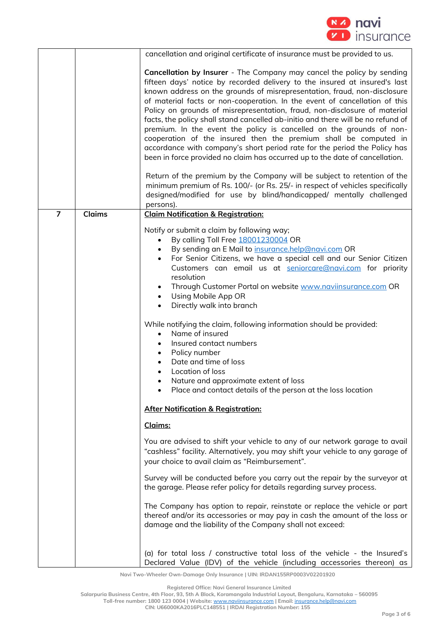

|                |               | cancellation and original certificate of insurance must be provided to us.                                                                                                                                                                                                                                                                                                                                                                                                                                                                                                                                                                                                                                                                                                                      |
|----------------|---------------|-------------------------------------------------------------------------------------------------------------------------------------------------------------------------------------------------------------------------------------------------------------------------------------------------------------------------------------------------------------------------------------------------------------------------------------------------------------------------------------------------------------------------------------------------------------------------------------------------------------------------------------------------------------------------------------------------------------------------------------------------------------------------------------------------|
|                |               | <b>Cancellation by Insurer</b> - The Company may cancel the policy by sending<br>fifteen days' notice by recorded delivery to the insured at insured's last<br>known address on the grounds of misrepresentation, fraud, non-disclosure<br>of material facts or non-cooperation. In the event of cancellation of this<br>Policy on grounds of misrepresentation, fraud, non-disclosure of material<br>facts, the policy shall stand cancelled ab-initio and there will be no refund of<br>premium. In the event the policy is cancelled on the grounds of non-<br>cooperation of the insured then the premium shall be computed in<br>accordance with company's short period rate for the period the Policy has<br>been in force provided no claim has occurred up to the date of cancellation. |
|                |               | Return of the premium by the Company will be subject to retention of the<br>minimum premium of Rs. 100/- (or Rs. 25/- in respect of vehicles specifically<br>designed/modified for use by blind/handicapped/ mentally challenged<br>persons).                                                                                                                                                                                                                                                                                                                                                                                                                                                                                                                                                   |
| $\overline{7}$ | <b>Claims</b> | <b>Claim Notification &amp; Registration:</b>                                                                                                                                                                                                                                                                                                                                                                                                                                                                                                                                                                                                                                                                                                                                                   |
|                |               | Notify or submit a claim by following way;<br>By calling Toll Free 18001230004 OR<br>By sending an E Mail to insurance.help@navi.com OR<br>For Senior Citizens, we have a special cell and our Senior Citizen<br>Customers can email us at seniorcare@navi.com for priority<br>resolution<br>Through Customer Portal on website www.naviinsurance.com OR<br>$\bullet$<br>Using Mobile App OR<br>Directly walk into branch<br>$\bullet$<br>While notifying the claim, following information should be provided:<br>Name of insured<br>$\bullet$<br>Insured contact numbers<br>Policy number<br>$\bullet$<br>Date and time of loss<br>Location of loss<br>Nature and approximate extent of loss                                                                                                   |
|                |               | Place and contact details of the person at the loss location                                                                                                                                                                                                                                                                                                                                                                                                                                                                                                                                                                                                                                                                                                                                    |
|                |               | <b>After Notification &amp; Registration:</b>                                                                                                                                                                                                                                                                                                                                                                                                                                                                                                                                                                                                                                                                                                                                                   |
|                |               | Claims:                                                                                                                                                                                                                                                                                                                                                                                                                                                                                                                                                                                                                                                                                                                                                                                         |
|                |               | You are advised to shift your vehicle to any of our network garage to avail<br>"cashless" facility. Alternatively, you may shift your vehicle to any garage of<br>your choice to avail claim as "Reimbursement".                                                                                                                                                                                                                                                                                                                                                                                                                                                                                                                                                                                |
|                |               | Survey will be conducted before you carry out the repair by the surveyor at<br>the garage. Please refer policy for details regarding survey process.                                                                                                                                                                                                                                                                                                                                                                                                                                                                                                                                                                                                                                            |
|                |               | The Company has option to repair, reinstate or replace the vehicle or part<br>thereof and/or its accessories or may pay in cash the amount of the loss or<br>damage and the liability of the Company shall not exceed:                                                                                                                                                                                                                                                                                                                                                                                                                                                                                                                                                                          |
|                |               | (a) for total loss / constructive total loss of the vehicle - the Insured's<br>Declared Value (IDV) of the vehicle (including accessories thereon) as                                                                                                                                                                                                                                                                                                                                                                                                                                                                                                                                                                                                                                           |

**Registered Office: Navi General Insurance Limited**

**Salarpuria Business Centre, 4th Floor, 93, 5th A Block, Koramangala Industrial Layout, Bengaluru, Karnataka – 560095**

**Toll-free number: 1800 123 0004 | Website:** [www.naviinsurance.com](http://www.naviinsurance.com/) **| Email:** [insurance.help@navi.com](mailto:insurance.help@navi.com)

**CIN: U66000KA2016PLC148551 | IRDAI Registration Number: 155**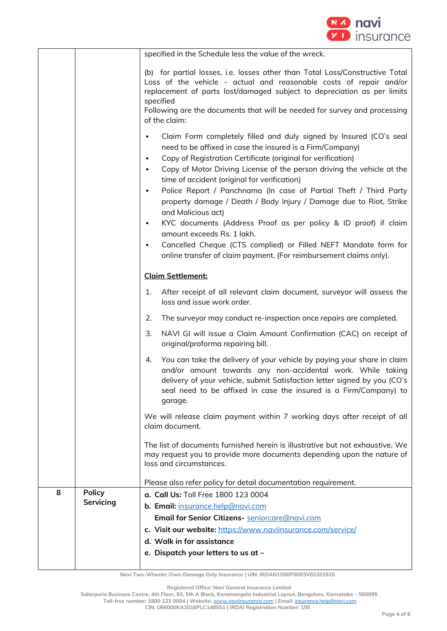

|   |               | specified in the Schedule less the value of the wreck.                                                                                                                                                                                                                                                                                                                                                                                                                                                                                                                                                                                                                                                             |  |
|---|---------------|--------------------------------------------------------------------------------------------------------------------------------------------------------------------------------------------------------------------------------------------------------------------------------------------------------------------------------------------------------------------------------------------------------------------------------------------------------------------------------------------------------------------------------------------------------------------------------------------------------------------------------------------------------------------------------------------------------------------|--|
|   |               |                                                                                                                                                                                                                                                                                                                                                                                                                                                                                                                                                                                                                                                                                                                    |  |
|   |               | (b) for partial losses, i.e. losses other than Total Loss/Constructive Total<br>Loss of the vehicle - actual and reasonable costs of repair and/or<br>replacement of parts lost/damaged subject to depreciation as per limits                                                                                                                                                                                                                                                                                                                                                                                                                                                                                      |  |
|   |               | specified<br>Following are the documents that will be needed for survey and processing<br>of the claim:                                                                                                                                                                                                                                                                                                                                                                                                                                                                                                                                                                                                            |  |
|   |               | Claim Form completely filled and duly signed by Insured (CO's seal<br>$\bullet$<br>need to be affixed in case the insured is a Firm/Company)<br>Copy of Registration Certificate (original for verification)<br>$\bullet$<br>Copy of Motor Driving License of the person driving the vehicle at the<br>time of accident (original for verification)<br>Police Report / Panchnama (In case of Partial Theft / Third Party<br>$\bullet$<br>property damage / Death / Body Injury / Damage due to Riot, Strike<br>and Malicious act)<br>KYC documents (Address Proof as per policy & ID proof) if claim<br>$\bullet$<br>amount exceeds Rs. 1 lakh.<br>Cancelled Cheque (CTS complied) or Filled NEFT Mandate form for |  |
|   |               | online transfer of claim payment. (For reimbursement claims only).                                                                                                                                                                                                                                                                                                                                                                                                                                                                                                                                                                                                                                                 |  |
|   |               | <b>Claim Settlement:</b>                                                                                                                                                                                                                                                                                                                                                                                                                                                                                                                                                                                                                                                                                           |  |
|   |               | After receipt of all relevant claim document, surveyor will assess the<br>1.<br>loss and issue work order.                                                                                                                                                                                                                                                                                                                                                                                                                                                                                                                                                                                                         |  |
|   |               | The surveyor may conduct re-inspection once repairs are completed.<br>2.                                                                                                                                                                                                                                                                                                                                                                                                                                                                                                                                                                                                                                           |  |
|   |               | 3.<br>NAVI GI will issue a Claim Amount Confirmation (CAC) on receipt of<br>original/proforma repairing bill.                                                                                                                                                                                                                                                                                                                                                                                                                                                                                                                                                                                                      |  |
|   |               | You can take the delivery of your vehicle by paying your share in claim<br>4.<br>and/or amount towards any non-accidental work. While taking<br>delivery of your vehicle, submit Satisfaction letter signed by you (CO's<br>seal need to be affixed in case the insured is a Firm/Company) to<br>garage.                                                                                                                                                                                                                                                                                                                                                                                                           |  |
|   |               | We will release claim payment within 7 working days after receipt of all<br>claim document.                                                                                                                                                                                                                                                                                                                                                                                                                                                                                                                                                                                                                        |  |
|   |               | The list of documents furnished herein is illustrative but not exhaustive. We<br>may request you to provide more documents depending upon the nature of<br>loss and circumstances.                                                                                                                                                                                                                                                                                                                                                                                                                                                                                                                                 |  |
|   |               | Please also refer policy for detail documentation requirement.                                                                                                                                                                                                                                                                                                                                                                                                                                                                                                                                                                                                                                                     |  |
| 8 | <b>Policy</b> | a. Call Us: Toll Free 1800 123 0004                                                                                                                                                                                                                                                                                                                                                                                                                                                                                                                                                                                                                                                                                |  |
|   | Servicing     | b. Email: insurance.help@navi.com                                                                                                                                                                                                                                                                                                                                                                                                                                                                                                                                                                                                                                                                                  |  |
|   |               | Email for Senior Citizens- seniorcare@navi.com                                                                                                                                                                                                                                                                                                                                                                                                                                                                                                                                                                                                                                                                     |  |
|   |               | c. Visit our website: https://www.naviinsurance.com/service/                                                                                                                                                                                                                                                                                                                                                                                                                                                                                                                                                                                                                                                       |  |
|   |               | d. Walk in for assistance                                                                                                                                                                                                                                                                                                                                                                                                                                                                                                                                                                                                                                                                                          |  |
|   |               | e. Dispatch your letters to us at -                                                                                                                                                                                                                                                                                                                                                                                                                                                                                                                                                                                                                                                                                |  |

**Registered Office: Navi General Insurance Limited**

**Salarpuria Business Centre, 4th Floor, 93, 5th A Block, Koramangala Industrial Layout, Bengaluru, Karnataka – 560095**

**Toll-free number: 1800 123 0004 | Website:** [www.naviinsurance.com](http://www.naviinsurance.com/) **| Email:** [insurance.help@navi.com](mailto:insurance.help@navi.com) **CIN: U66000KA2016PLC148551 | IRDAI Registration Number: 155**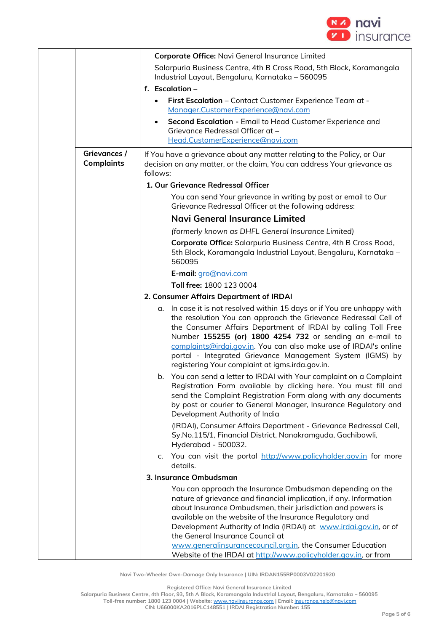

|                                   | Corporate Office: Navi General Insurance Limited                                                                                                                                                                                                                                                                                                                                                                                                               |
|-----------------------------------|----------------------------------------------------------------------------------------------------------------------------------------------------------------------------------------------------------------------------------------------------------------------------------------------------------------------------------------------------------------------------------------------------------------------------------------------------------------|
|                                   | Salarpuria Business Centre, 4th B Cross Road, 5th Block, Koramangala                                                                                                                                                                                                                                                                                                                                                                                           |
|                                   | Industrial Layout, Bengaluru, Karnataka - 560095                                                                                                                                                                                                                                                                                                                                                                                                               |
|                                   | f. Escalation $-$                                                                                                                                                                                                                                                                                                                                                                                                                                              |
|                                   | First Escalation - Contact Customer Experience Team at -<br>$\bullet$                                                                                                                                                                                                                                                                                                                                                                                          |
|                                   | Manager.CustomerExperience@navi.com                                                                                                                                                                                                                                                                                                                                                                                                                            |
|                                   | Second Escalation - Email to Head Customer Experience and<br>$\bullet$<br>Grievance Redressal Officer at -                                                                                                                                                                                                                                                                                                                                                     |
|                                   | Head.CustomerExperience@navi.com                                                                                                                                                                                                                                                                                                                                                                                                                               |
| Grievances /<br><b>Complaints</b> | If You have a grievance about any matter relating to the Policy, or Our<br>decision on any matter, or the claim, You can address Your grievance as<br>follows:                                                                                                                                                                                                                                                                                                 |
|                                   | 1. Our Grievance Redressal Officer                                                                                                                                                                                                                                                                                                                                                                                                                             |
|                                   | You can send Your grievance in writing by post or email to Our<br>Grievance Redressal Officer at the following address:                                                                                                                                                                                                                                                                                                                                        |
|                                   | Navi General Insurance Limited                                                                                                                                                                                                                                                                                                                                                                                                                                 |
|                                   | (formerly known as DHFL General Insurance Limited)                                                                                                                                                                                                                                                                                                                                                                                                             |
|                                   | Corporate Office: Salarpuria Business Centre, 4th B Cross Road,<br>5th Block, Koramangala Industrial Layout, Bengaluru, Karnataka -<br>560095                                                                                                                                                                                                                                                                                                                  |
|                                   | E-mail: gro@navi.com                                                                                                                                                                                                                                                                                                                                                                                                                                           |
|                                   | Toll free: 1800 123 0004                                                                                                                                                                                                                                                                                                                                                                                                                                       |
|                                   | 2. Consumer Affairs Department of IRDAI                                                                                                                                                                                                                                                                                                                                                                                                                        |
|                                   | In case it is not resolved within 15 days or if You are unhappy with<br>α.<br>the resolution You can approach the Grievance Redressal Cell of<br>the Consumer Affairs Department of IRDAI by calling Toll Free<br>Number 155255 (or) 1800 4254 732 or sending an e-mail to<br>complaints@irdai.gov.in. You can also make use of IRDAI's online<br>portal - Integrated Grievance Management System (IGMS) by<br>registering Your complaint at igms.irda.gov.in. |
|                                   | You can send a letter to IRDAI with Your complaint on a Complaint<br>b.<br>Registration Form available by clicking here. You must fill and<br>send the Complaint Registration Form along with any documents<br>by post or courier to General Manager, Insurance Regulatory and<br>Development Authority of India                                                                                                                                               |
|                                   | (IRDAI), Consumer Affairs Department - Grievance Redressal Cell,<br>Sy.No.115/1, Financial District, Nanakramguda, Gachibowli,<br>Hyderabad - 500032.                                                                                                                                                                                                                                                                                                          |
|                                   | You can visit the portal http://www.policyholder.gov.in for more<br>c.<br>details.                                                                                                                                                                                                                                                                                                                                                                             |
|                                   | 3. Insurance Ombudsman                                                                                                                                                                                                                                                                                                                                                                                                                                         |
|                                   | You can approach the Insurance Ombudsman depending on the<br>nature of grievance and financial implication, if any. Information<br>about Insurance Ombudsmen, their jurisdiction and powers is<br>available on the website of the Insurance Regulatory and<br>Development Authority of India (IRDAI) at www.irdai.gov.in, or of<br>the General Insurance Council at                                                                                            |
|                                   | www.generalinsurancecouncil.org.in, the Consumer Education<br>Website of the IRDAI at http://www.policyholder.gov.in, or from                                                                                                                                                                                                                                                                                                                                  |

**Registered Office: Navi General Insurance Limited**

**Salarpuria Business Centre, 4th Floor, 93, 5th A Block, Koramangala Industrial Layout, Bengaluru, Karnataka – 560095**

**Toll-free number: 1800 123 0004 | Website:** [www.naviinsurance.com](http://www.naviinsurance.com/) **| Email:** [insurance.help@navi.com](mailto:insurance.help@navi.com) **CIN: U66000KA2016PLC148551 | IRDAI Registration Number: 155**